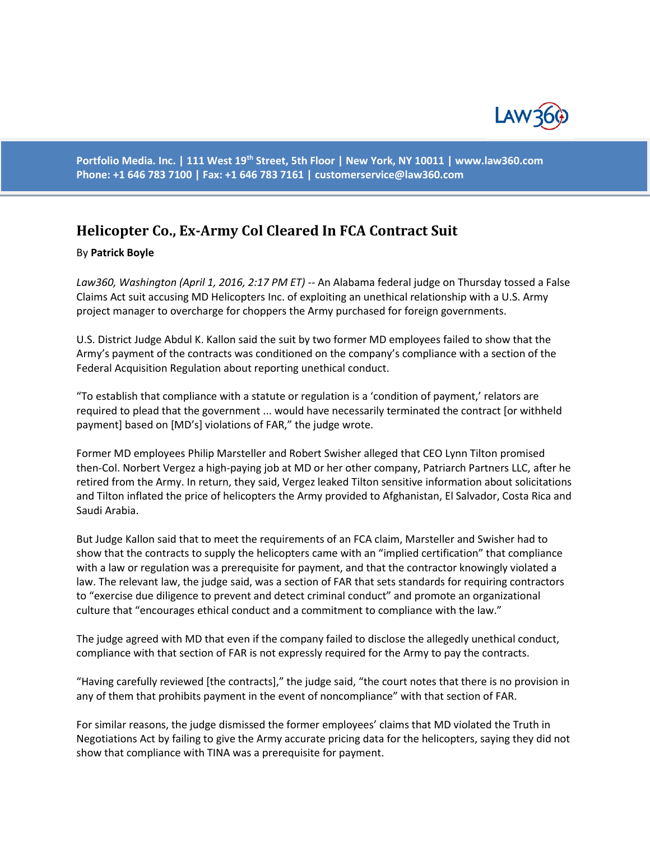

**Portfolio Media. Inc. | 111 West 19th Street, 5th Floor | New York, NY 10011 | www.law360.com Phone: +1 646 783 7100 | Fax: +1 646 783 7161 | [customerservice@law360.com](mailto:customerservice@law360.com)**

## **Helicopter Co., Ex-Army Col Cleared In FCA Contract Suit**

## By **Patrick Boyle**

*Law360, Washington (April 1, 2016, 2:17 PM ET)* -- An Alabama federal judge on Thursday tossed a False Claims Act suit accusing MD Helicopters Inc. of exploiting an unethical relationship with a U.S. Army project manager to overcharge for choppers the Army purchased for foreign governments.

U.S. District Judge Abdul K. Kallon said the suit by two former MD employees failed to show that the Army's payment of the contracts was conditioned on the company's compliance with a section of the Federal Acquisition Regulation about reporting unethical conduct.

"To establish that compliance with a statute or regulation is a 'condition of payment,' relators are required to plead that the government ... would have necessarily terminated the contract [or withheld payment] based on [MD's] violations of FAR," the judge wrote.

Former MD employees Philip Marsteller and Robert Swisher alleged that CEO Lynn Tilton promised then-Col. Norbert Vergez a high-paying job at MD or her other company, Patriarch Partners LLC, after he retired from the Army. In return, they said, Vergez leaked Tilton sensitive information about solicitations and Tilton inflated the price of helicopters the Army provided to Afghanistan, El Salvador, Costa Rica and Saudi Arabia.

But Judge Kallon said that to meet the requirements of an FCA claim, Marsteller and Swisher had to show that the contracts to supply the helicopters came with an "implied certification" that compliance with a law or regulation was a prerequisite for payment, and that the contractor knowingly violated a law. The relevant law, the judge said, was a section of FAR that sets standards for requiring contractors to "exercise due diligence to prevent and detect criminal conduct" and promote an organizational culture that "encourages ethical conduct and a commitment to compliance with the law."

The judge agreed with MD that even if the company failed to disclose the allegedly unethical conduct, compliance with that section of FAR is not expressly required for the Army to pay the contracts.

"Having carefully reviewed [the contracts]," the judge said, "the court notes that there is no provision in any of them that prohibits payment in the event of noncompliance" with that section of FAR.

For similar reasons, the judge dismissed the former employees' claims that MD violated the Truth in Negotiations Act by failing to give the Army accurate pricing data for the helicopters, saying they did not show that compliance with TINA was a prerequisite for payment.